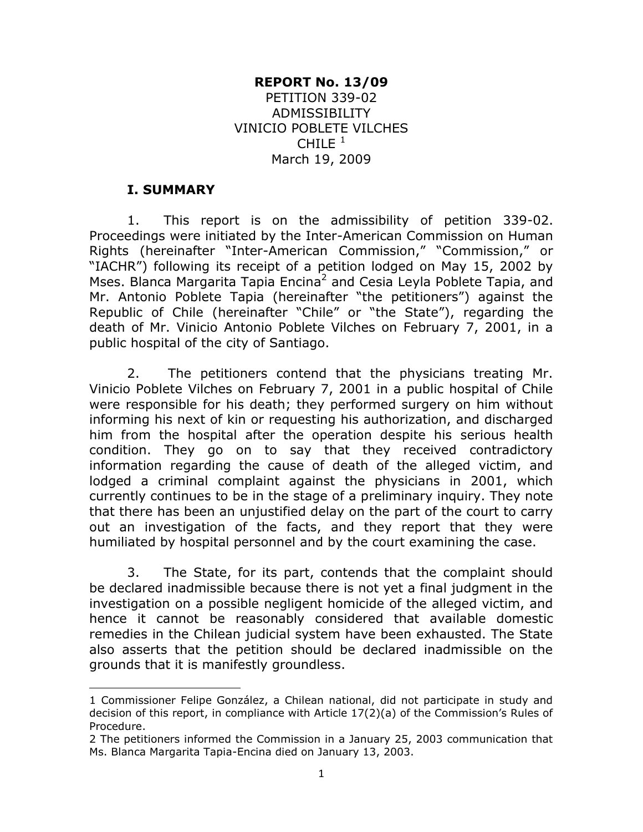#### **REPORT No. 13/09**

PETITION 339-02 ADMISSIBILITY VINICIO POBLETE VILCHES  $CHILE<sup>1</sup>$ March 19, 2009

#### **I. SUMMARY**

 $\overline{a}$ 

1. This report is on the admissibility of petition 339-02. Proceedings were initiated by the Inter-American Commission on Human Rights (hereinafter "Inter-American Commission," "Commission," or "IACHR") following its receipt of a petition lodged on May 15, 2002 by Mses. Blanca Margarita Tapia Encina<sup>2</sup> and Cesia Leyla Poblete Tapia, and Mr. Antonio Poblete Tapia (hereinafter "the petitioners") against the Republic of Chile (hereinafter "Chile" or "the State"), regarding the death of Mr. Vinicio Antonio Poblete Vilches on February 7, 2001, in a public hospital of the city of Santiago.

2. The petitioners contend that the physicians treating Mr. Vinicio Poblete Vilches on February 7, 2001 in a public hospital of Chile were responsible for his death; they performed surgery on him without informing his next of kin or requesting his authorization, and discharged him from the hospital after the operation despite his serious health condition. They go on to say that they received contradictory information regarding the cause of death of the alleged victim, and lodged a criminal complaint against the physicians in 2001, which currently continues to be in the stage of a preliminary inquiry. They note that there has been an unjustified delay on the part of the court to carry out an investigation of the facts, and they report that they were humiliated by hospital personnel and by the court examining the case.

3. The State, for its part, contends that the complaint should be declared inadmissible because there is not yet a final judgment in the investigation on a possible negligent homicide of the alleged victim, and hence it cannot be reasonably considered that available domestic remedies in the Chilean judicial system have been exhausted. The State also asserts that the petition should be declared inadmissible on the grounds that it is manifestly groundless.

<sup>1</sup> Commissioner Felipe González, a Chilean national, did not participate in study and decision of this report, in compliance with Article 17(2)(a) of the Commission's Rules of Procedure.

<sup>2</sup> The petitioners informed the Commission in a January 25, 2003 communication that Ms. Blanca Margarita Tapia-Encina died on January 13, 2003.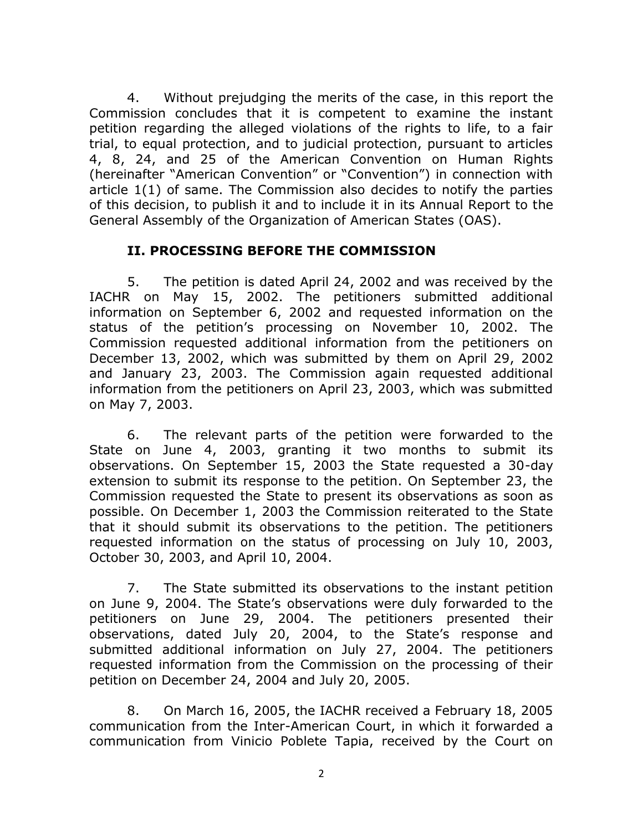4. Without prejudging the merits of the case, in this report the Commission concludes that it is competent to examine the instant petition regarding the alleged violations of the rights to life, to a fair trial, to equal protection, and to judicial protection, pursuant to articles 4, 8, 24, and 25 of the American Convention on Human Rights (hereinafter "American Convention" or "Convention") in connection with article 1(1) of same. The Commission also decides to notify the parties of this decision, to publish it and to include it in its Annual Report to the General Assembly of the Organization of American States (OAS).

#### **II. PROCESSING BEFORE THE COMMISSION**

5. The petition is dated April 24, 2002 and was received by the IACHR on May 15, 2002. The petitioners submitted additional information on September 6, 2002 and requested information on the status of the petition's processing on November 10, 2002. The Commission requested additional information from the petitioners on December 13, 2002, which was submitted by them on April 29, 2002 and January 23, 2003. The Commission again requested additional information from the petitioners on April 23, 2003, which was submitted on May 7, 2003.

6. The relevant parts of the petition were forwarded to the State on June 4, 2003, granting it two months to submit its observations. On September 15, 2003 the State requested a 30-day extension to submit its response to the petition. On September 23, the Commission requested the State to present its observations as soon as possible. On December 1, 2003 the Commission reiterated to the State that it should submit its observations to the petition. The petitioners requested information on the status of processing on July 10, 2003, October 30, 2003, and April 10, 2004.

7. The State submitted its observations to the instant petition on June 9, 2004. The State's observations were duly forwarded to the petitioners on June 29, 2004. The petitioners presented their observations, dated July 20, 2004, to the State's response and submitted additional information on July 27, 2004. The petitioners requested information from the Commission on the processing of their petition on December 24, 2004 and July 20, 2005.

8. On March 16, 2005, the IACHR received a February 18, 2005 communication from the Inter-American Court, in which it forwarded a communication from Vinicio Poblete Tapia, received by the Court on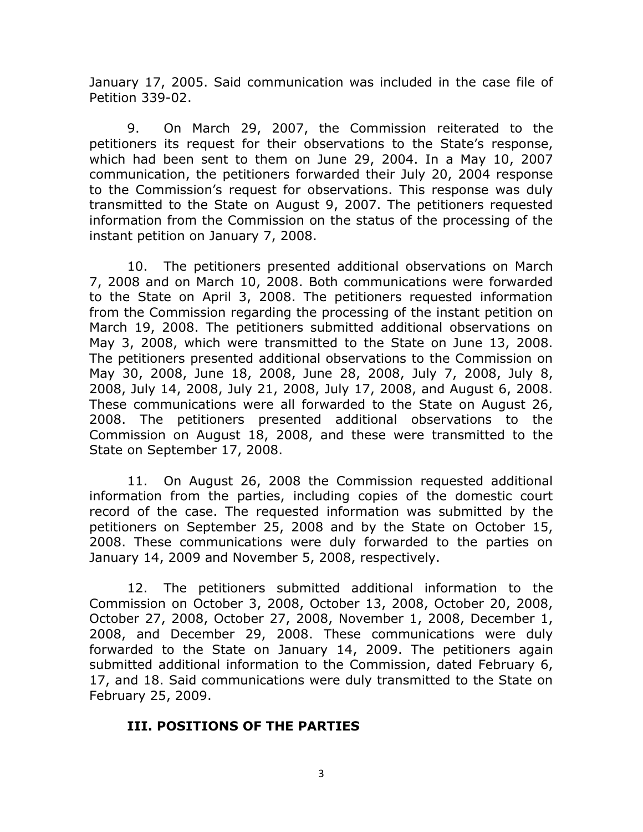January 17, 2005. Said communication was included in the case file of Petition 339-02.

9. On March 29, 2007, the Commission reiterated to the petitioners its request for their observations to the State's response, which had been sent to them on June 29, 2004. In a May 10, 2007 communication, the petitioners forwarded their July 20, 2004 response to the Commission's request for observations. This response was duly transmitted to the State on August 9, 2007. The petitioners requested information from the Commission on the status of the processing of the instant petition on January 7, 2008.

10. The petitioners presented additional observations on March 7, 2008 and on March 10, 2008. Both communications were forwarded to the State on April 3, 2008. The petitioners requested information from the Commission regarding the processing of the instant petition on March 19, 2008. The petitioners submitted additional observations on May 3, 2008, which were transmitted to the State on June 13, 2008. The petitioners presented additional observations to the Commission on May 30, 2008, June 18, 2008, June 28, 2008, July 7, 2008, July 8, 2008, July 14, 2008, July 21, 2008, July 17, 2008, and August 6, 2008. These communications were all forwarded to the State on August 26, 2008. The petitioners presented additional observations to the Commission on August 18, 2008, and these were transmitted to the State on September 17, 2008.

11. On August 26, 2008 the Commission requested additional information from the parties, including copies of the domestic court record of the case. The requested information was submitted by the petitioners on September 25, 2008 and by the State on October 15, 2008. These communications were duly forwarded to the parties on January 14, 2009 and November 5, 2008, respectively.

12. The petitioners submitted additional information to the Commission on October 3, 2008, October 13, 2008, October 20, 2008, October 27, 2008, October 27, 2008, November 1, 2008, December 1, 2008, and December 29, 2008. These communications were duly forwarded to the State on January 14, 2009. The petitioners again submitted additional information to the Commission, dated February 6, 17, and 18. Said communications were duly transmitted to the State on February 25, 2009.

## **III. POSITIONS OF THE PARTIES**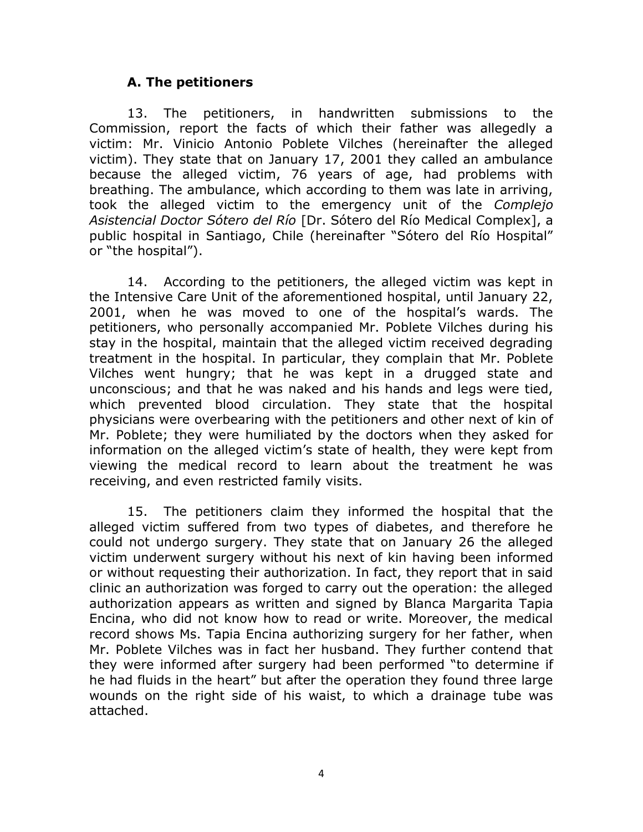#### **A. The petitioners**

13. The petitioners, in handwritten submissions to the Commission, report the facts of which their father was allegedly a victim: Mr. Vinicio Antonio Poblete Vilches (hereinafter the alleged victim). They state that on January 17, 2001 they called an ambulance because the alleged victim, 76 years of age, had problems with breathing. The ambulance, which according to them was late in arriving, took the alleged victim to the emergency unit of the *Complejo Asistencial Doctor Sótero del Río* [Dr. Sótero del Río Medical Complex], a public hospital in Santiago, Chile (hereinafter "Sótero del Río Hospital" or "the hospital").

14. According to the petitioners, the alleged victim was kept in the Intensive Care Unit of the aforementioned hospital, until January 22, 2001, when he was moved to one of the hospital's wards. The petitioners, who personally accompanied Mr. Poblete Vilches during his stay in the hospital, maintain that the alleged victim received degrading treatment in the hospital. In particular, they complain that Mr. Poblete Vilches went hungry; that he was kept in a drugged state and unconscious; and that he was naked and his hands and legs were tied, which prevented blood circulation. They state that the hospital physicians were overbearing with the petitioners and other next of kin of Mr. Poblete; they were humiliated by the doctors when they asked for information on the alleged victim's state of health, they were kept from viewing the medical record to learn about the treatment he was receiving, and even restricted family visits.

15. The petitioners claim they informed the hospital that the alleged victim suffered from two types of diabetes, and therefore he could not undergo surgery. They state that on January 26 the alleged victim underwent surgery without his next of kin having been informed or without requesting their authorization. In fact, they report that in said clinic an authorization was forged to carry out the operation: the alleged authorization appears as written and signed by Blanca Margarita Tapia Encina, who did not know how to read or write. Moreover, the medical record shows Ms. Tapia Encina authorizing surgery for her father, when Mr. Poblete Vilches was in fact her husband. They further contend that they were informed after surgery had been performed "to determine if he had fluids in the heart" but after the operation they found three large wounds on the right side of his waist, to which a drainage tube was attached.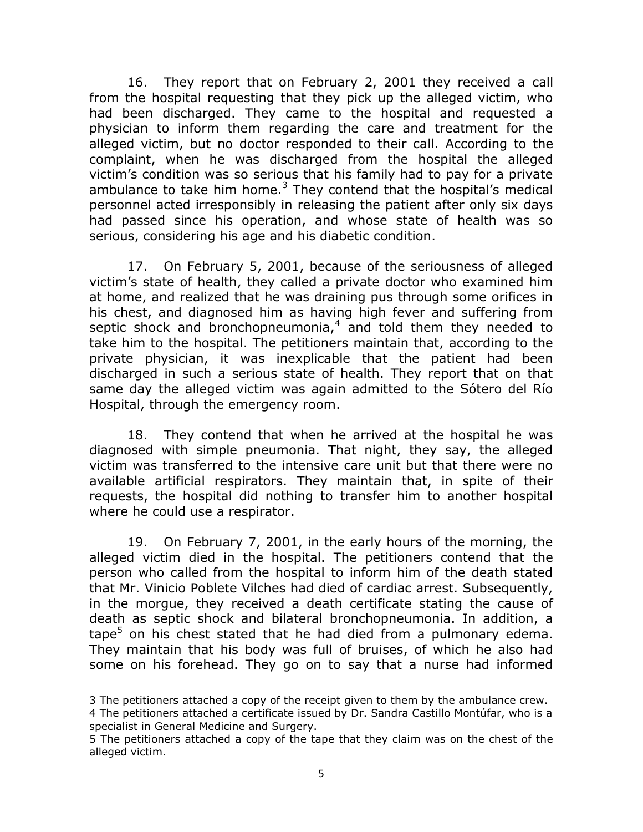16. They report that on February 2, 2001 they received a call from the hospital requesting that they pick up the alleged victim, who had been discharged. They came to the hospital and requested a physician to inform them regarding the care and treatment for the alleged victim, but no doctor responded to their call. According to the complaint, when he was discharged from the hospital the alleged victim's condition was so serious that his family had to pay for a private ambulance to take him home. $3$  They contend that the hospital's medical personnel acted irresponsibly in releasing the patient after only six days had passed since his operation, and whose state of health was so serious, considering his age and his diabetic condition.

17. On February 5, 2001, because of the seriousness of alleged victim's state of health, they called a private doctor who examined him at home, and realized that he was draining pus through some orifices in his chest, and diagnosed him as having high fever and suffering from septic shock and bronchopneumonia, $4$  and told them they needed to take him to the hospital. The petitioners maintain that, according to the private physician, it was inexplicable that the patient had been discharged in such a serious state of health. They report that on that same day the alleged victim was again admitted to the Sótero del Río Hospital, through the emergency room.

18. They contend that when he arrived at the hospital he was diagnosed with simple pneumonia. That night, they say, the alleged victim was transferred to the intensive care unit but that there were no available artificial respirators. They maintain that, in spite of their requests, the hospital did nothing to transfer him to another hospital where he could use a respirator.

19. On February 7, 2001, in the early hours of the morning, the alleged victim died in the hospital. The petitioners contend that the person who called from the hospital to inform him of the death stated that Mr. Vinicio Poblete Vilches had died of cardiac arrest. Subsequently, in the morgue, they received a death certificate stating the cause of death as septic shock and bilateral bronchopneumonia. In addition, a tape<sup>5</sup> on his chest stated that he had died from a pulmonary edema. They maintain that his body was full of bruises, of which he also had some on his forehead. They go on to say that a nurse had informed

 $\overline{a}$ 

<sup>3</sup> The petitioners attached a copy of the receipt given to them by the ambulance crew.

<sup>4</sup> The petitioners attached a certificate issued by Dr. Sandra Castillo Montúfar, who is a specialist in General Medicine and Surgery.

<sup>5</sup> The petitioners attached a copy of the tape that they claim was on the chest of the alleged victim.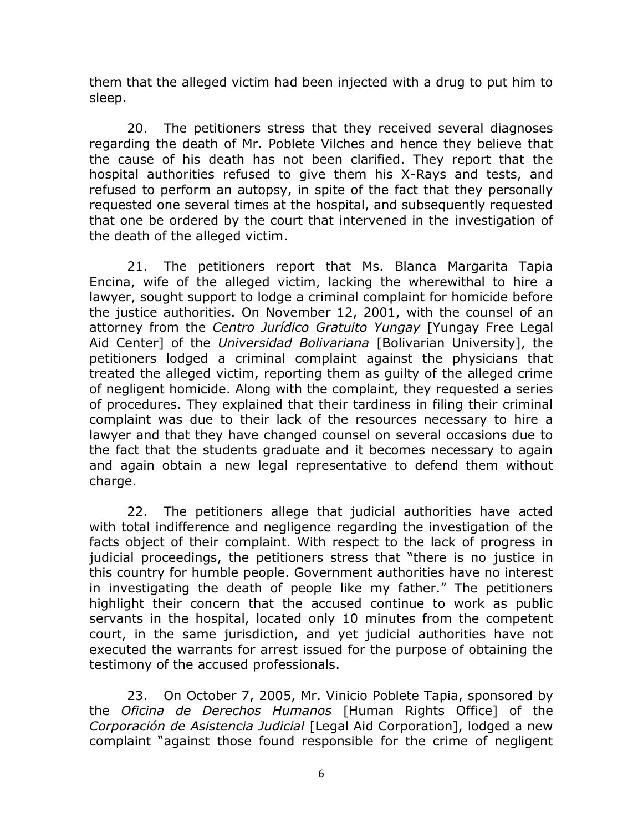them that the alleged victim had been injected with a drug to put him to sleep.

20. The petitioners stress that they received several diagnoses regarding the death of Mr. Poblete Vilches and hence they believe that the cause of his death has not been clarified. They report that the hospital authorities refused to give them his X-Rays and tests, and refused to perform an autopsy, in spite of the fact that they personally requested one several times at the hospital, and subsequently requested that one be ordered by the court that intervened in the investigation of the death of the alleged victim.

21. The petitioners report that Ms. Blanca Margarita Tapia Encina, wife of the alleged victim, lacking the wherewithal to hire a lawyer, sought support to lodge a criminal complaint for homicide before the justice authorities. On November 12, 2001, with the counsel of an attorney from the *Centro Jurídico Gratuito Yungay* [Yungay Free Legal Aid Center] of the *Universidad Bolivariana* [Bolivarian University], the petitioners lodged a criminal complaint against the physicians that treated the alleged victim, reporting them as guilty of the alleged crime of negligent homicide. Along with the complaint, they requested a series of procedures. They explained that their tardiness in filing their criminal complaint was due to their lack of the resources necessary to hire a lawyer and that they have changed counsel on several occasions due to the fact that the students graduate and it becomes necessary to again and again obtain a new legal representative to defend them without charge.

22. The petitioners allege that judicial authorities have acted with total indifference and negligence regarding the investigation of the facts object of their complaint. With respect to the lack of progress in judicial proceedings, the petitioners stress that "there is no justice in this country for humble people. Government authorities have no interest in investigating the death of people like my father." The petitioners highlight their concern that the accused continue to work as public servants in the hospital, located only 10 minutes from the competent court, in the same jurisdiction, and yet judicial authorities have not executed the warrants for arrest issued for the purpose of obtaining the testimony of the accused professionals.

23. On October 7, 2005, Mr. Vinicio Poblete Tapia, sponsored by the *Oficina de Derechos Humanos* [Human Rights Office] of the *Corporación de Asistencia Judicial* [Legal Aid Corporation], lodged a new complaint "against those found responsible for the crime of negligent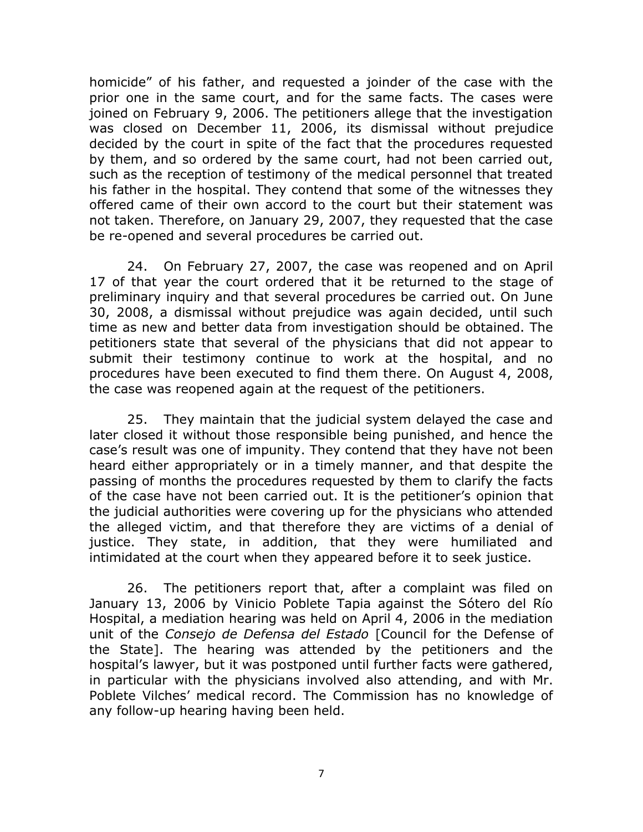homicide" of his father, and requested a joinder of the case with the prior one in the same court, and for the same facts. The cases were joined on February 9, 2006. The petitioners allege that the investigation was closed on December 11, 2006, its dismissal without prejudice decided by the court in spite of the fact that the procedures requested by them, and so ordered by the same court, had not been carried out, such as the reception of testimony of the medical personnel that treated his father in the hospital. They contend that some of the witnesses they offered came of their own accord to the court but their statement was not taken. Therefore, on January 29, 2007, they requested that the case be re-opened and several procedures be carried out.

24. On February 27, 2007, the case was reopened and on April 17 of that year the court ordered that it be returned to the stage of preliminary inquiry and that several procedures be carried out. On June 30, 2008, a dismissal without prejudice was again decided, until such time as new and better data from investigation should be obtained. The petitioners state that several of the physicians that did not appear to submit their testimony continue to work at the hospital, and no procedures have been executed to find them there. On August 4, 2008, the case was reopened again at the request of the petitioners.

25. They maintain that the judicial system delayed the case and later closed it without those responsible being punished, and hence the case's result was one of impunity. They contend that they have not been heard either appropriately or in a timely manner, and that despite the passing of months the procedures requested by them to clarify the facts of the case have not been carried out. It is the petitioner's opinion that the judicial authorities were covering up for the physicians who attended the alleged victim, and that therefore they are victims of a denial of justice. They state, in addition, that they were humiliated and intimidated at the court when they appeared before it to seek justice.

26. The petitioners report that, after a complaint was filed on January 13, 2006 by Vinicio Poblete Tapia against the Sótero del Río Hospital, a mediation hearing was held on April 4, 2006 in the mediation unit of the *Consejo de Defensa del Estado* [Council for the Defense of the State]. The hearing was attended by the petitioners and the hospital's lawyer, but it was postponed until further facts were gathered, in particular with the physicians involved also attending, and with Mr. Poblete Vilches' medical record. The Commission has no knowledge of any follow-up hearing having been held.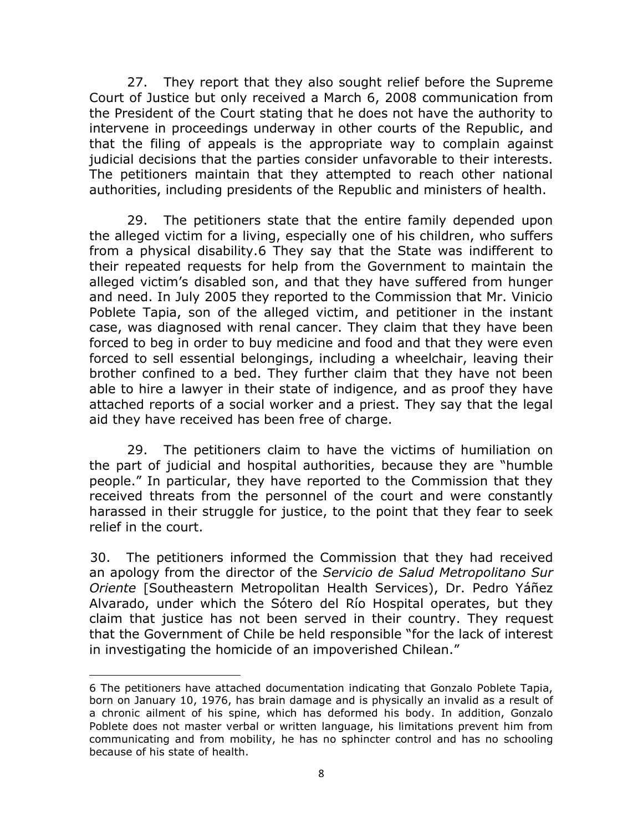27. They report that they also sought relief before the Supreme Court of Justice but only received a March 6, 2008 communication from the President of the Court stating that he does not have the authority to intervene in proceedings underway in other courts of the Republic, and that the filing of appeals is the appropriate way to complain against judicial decisions that the parties consider unfavorable to their interests. The petitioners maintain that they attempted to reach other national authorities, including presidents of the Republic and ministers of health.

29. The petitioners state that the entire family depended upon the alleged victim for a living, especially one of his children, who suffers from a physical disability.6 They say that the State was indifferent to their repeated requests for help from the Government to maintain the alleged victim's disabled son, and that they have suffered from hunger and need. In July 2005 they reported to the Commission that Mr. Vinicio Poblete Tapia, son of the alleged victim, and petitioner in the instant case, was diagnosed with renal cancer. They claim that they have been forced to beg in order to buy medicine and food and that they were even forced to sell essential belongings, including a wheelchair, leaving their brother confined to a bed. They further claim that they have not been able to hire a lawyer in their state of indigence, and as proof they have attached reports of a social worker and a priest. They say that the legal aid they have received has been free of charge.

29. The petitioners claim to have the victims of humiliation on the part of judicial and hospital authorities, because they are "humble people." In particular, they have reported to the Commission that they received threats from the personnel of the court and were constantly harassed in their struggle for justice, to the point that they fear to seek relief in the court.

30. The petitioners informed the Commission that they had received an apology from the director of the *Servicio de Salud Metropolitano Sur Oriente* [Southeastern Metropolitan Health Services), Dr. Pedro Yáñez Alvarado, under which the Sótero del Río Hospital operates, but they claim that justice has not been served in their country. They request that the Government of Chile be held responsible "for the lack of interest in investigating the homicide of an impoverished Chilean."

 $\overline{a}$ 

<sup>6</sup> The petitioners have attached documentation indicating that Gonzalo Poblete Tapia, born on January 10, 1976, has brain damage and is physically an invalid as a result of a chronic ailment of his spine, which has deformed his body. In addition, Gonzalo Poblete does not master verbal or written language, his limitations prevent him from communicating and from mobility, he has no sphincter control and has no schooling because of his state of health.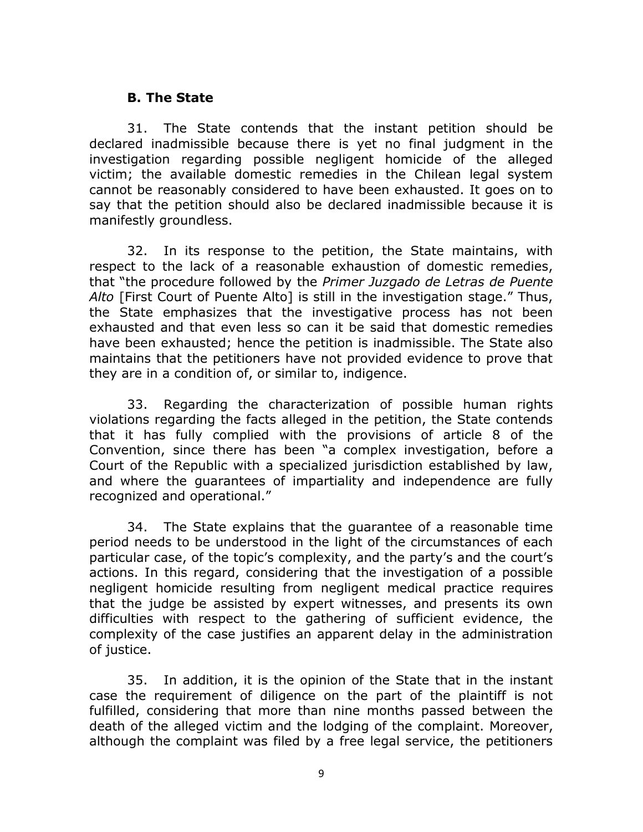#### **B. The State**

31. The State contends that the instant petition should be declared inadmissible because there is yet no final judgment in the investigation regarding possible negligent homicide of the alleged victim; the available domestic remedies in the Chilean legal system cannot be reasonably considered to have been exhausted. It goes on to say that the petition should also be declared inadmissible because it is manifestly groundless.

32. In its response to the petition, the State maintains, with respect to the lack of a reasonable exhaustion of domestic remedies, that "the procedure followed by the *Primer Juzgado de Letras de Puente Alto* [First Court of Puente Alto] is still in the investigation stage." Thus, the State emphasizes that the investigative process has not been exhausted and that even less so can it be said that domestic remedies have been exhausted; hence the petition is inadmissible. The State also maintains that the petitioners have not provided evidence to prove that they are in a condition of, or similar to, indigence.

33. Regarding the characterization of possible human rights violations regarding the facts alleged in the petition, the State contends that it has fully complied with the provisions of article 8 of the Convention, since there has been "a complex investigation, before a Court of the Republic with a specialized jurisdiction established by law, and where the guarantees of impartiality and independence are fully recognized and operational."

34. The State explains that the guarantee of a reasonable time period needs to be understood in the light of the circumstances of each particular case, of the topic's complexity, and the party's and the court's actions. In this regard, considering that the investigation of a possible negligent homicide resulting from negligent medical practice requires that the judge be assisted by expert witnesses, and presents its own difficulties with respect to the gathering of sufficient evidence, the complexity of the case justifies an apparent delay in the administration of justice.

35. In addition, it is the opinion of the State that in the instant case the requirement of diligence on the part of the plaintiff is not fulfilled, considering that more than nine months passed between the death of the alleged victim and the lodging of the complaint. Moreover, although the complaint was filed by a free legal service, the petitioners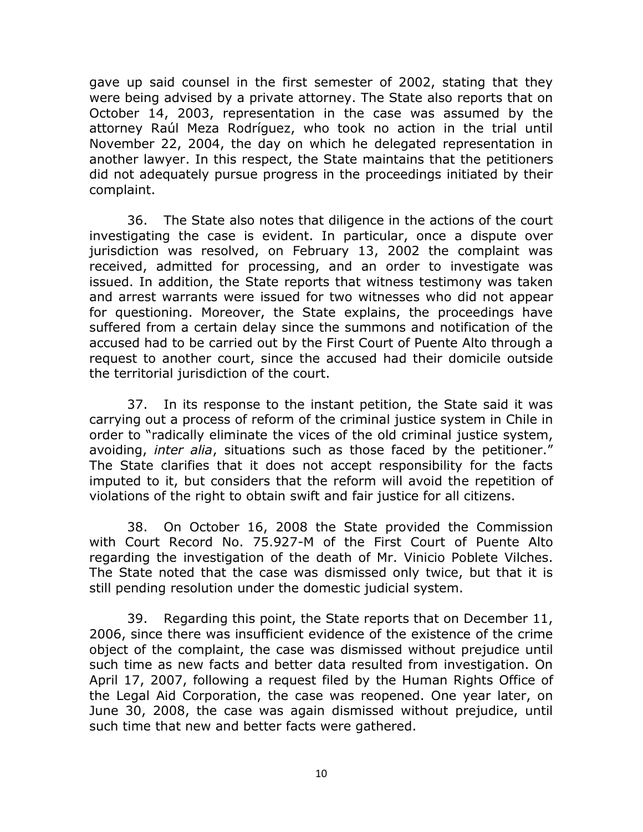gave up said counsel in the first semester of 2002, stating that they were being advised by a private attorney. The State also reports that on October 14, 2003, representation in the case was assumed by the attorney Raúl Meza Rodríguez, who took no action in the trial until November 22, 2004, the day on which he delegated representation in another lawyer. In this respect, the State maintains that the petitioners did not adequately pursue progress in the proceedings initiated by their complaint.

36. The State also notes that diligence in the actions of the court investigating the case is evident. In particular, once a dispute over jurisdiction was resolved, on February 13, 2002 the complaint was received, admitted for processing, and an order to investigate was issued. In addition, the State reports that witness testimony was taken and arrest warrants were issued for two witnesses who did not appear for questioning. Moreover, the State explains, the proceedings have suffered from a certain delay since the summons and notification of the accused had to be carried out by the First Court of Puente Alto through a request to another court, since the accused had their domicile outside the territorial jurisdiction of the court.

37. In its response to the instant petition, the State said it was carrying out a process of reform of the criminal justice system in Chile in order to "radically eliminate the vices of the old criminal justice system, avoiding, *inter alia*, situations such as those faced by the petitioner." The State clarifies that it does not accept responsibility for the facts imputed to it, but considers that the reform will avoid the repetition of violations of the right to obtain swift and fair justice for all citizens.

38. On October 16, 2008 the State provided the Commission with Court Record No. 75.927-M of the First Court of Puente Alto regarding the investigation of the death of Mr. Vinicio Poblete Vilches. The State noted that the case was dismissed only twice, but that it is still pending resolution under the domestic judicial system.

39. Regarding this point, the State reports that on December 11, 2006, since there was insufficient evidence of the existence of the crime object of the complaint, the case was dismissed without prejudice until such time as new facts and better data resulted from investigation. On April 17, 2007, following a request filed by the Human Rights Office of the Legal Aid Corporation, the case was reopened. One year later, on June 30, 2008, the case was again dismissed without prejudice, until such time that new and better facts were gathered.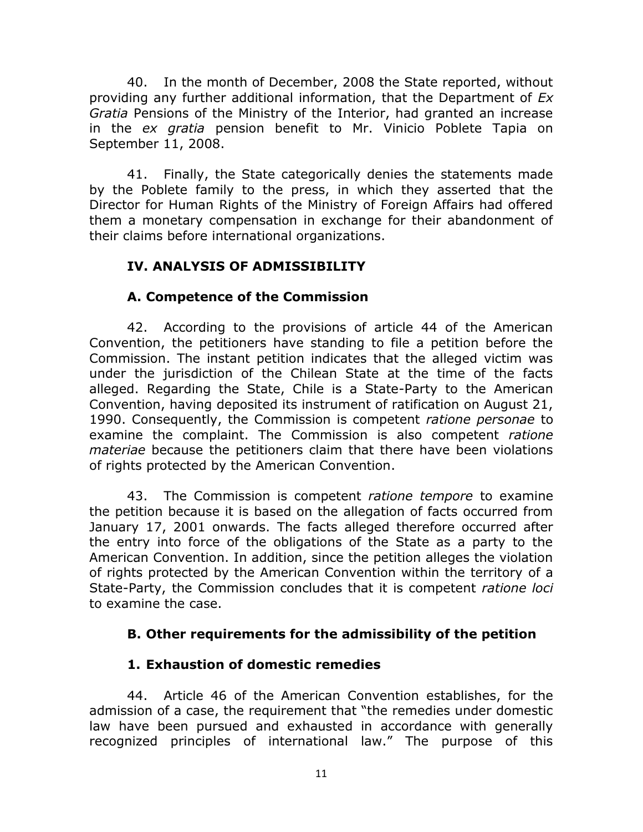40. In the month of December, 2008 the State reported, without providing any further additional information, that the Department of *Ex Gratia* Pensions of the Ministry of the Interior, had granted an increase in the *ex gratia* pension benefit to Mr. Vinicio Poblete Tapia on September 11, 2008.

41. Finally, the State categorically denies the statements made by the Poblete family to the press, in which they asserted that the Director for Human Rights of the Ministry of Foreign Affairs had offered them a monetary compensation in exchange for their abandonment of their claims before international organizations.

## **IV. ANALYSIS OF ADMISSIBILITY**

# **A. Competence of the Commission**

42. According to the provisions of article 44 of the American Convention, the petitioners have standing to file a petition before the Commission. The instant petition indicates that the alleged victim was under the jurisdiction of the Chilean State at the time of the facts alleged. Regarding the State, Chile is a State-Party to the American Convention, having deposited its instrument of ratification on August 21, 1990. Consequently, the Commission is competent *ratione personae* to examine the complaint. The Commission is also competent *ratione materiae* because the petitioners claim that there have been violations of rights protected by the American Convention.

43. The Commission is competent *ratione tempore* to examine the petition because it is based on the allegation of facts occurred from January 17, 2001 onwards. The facts alleged therefore occurred after the entry into force of the obligations of the State as a party to the American Convention. In addition, since the petition alleges the violation of rights protected by the American Convention within the territory of a State-Party, the Commission concludes that it is competent *ratione loci* to examine the case.

## **B. Other requirements for the admissibility of the petition**

## **1. Exhaustion of domestic remedies**

44. Article 46 of the American Convention establishes, for the admission of a case, the requirement that "the remedies under domestic law have been pursued and exhausted in accordance with generally recognized principles of international law." The purpose of this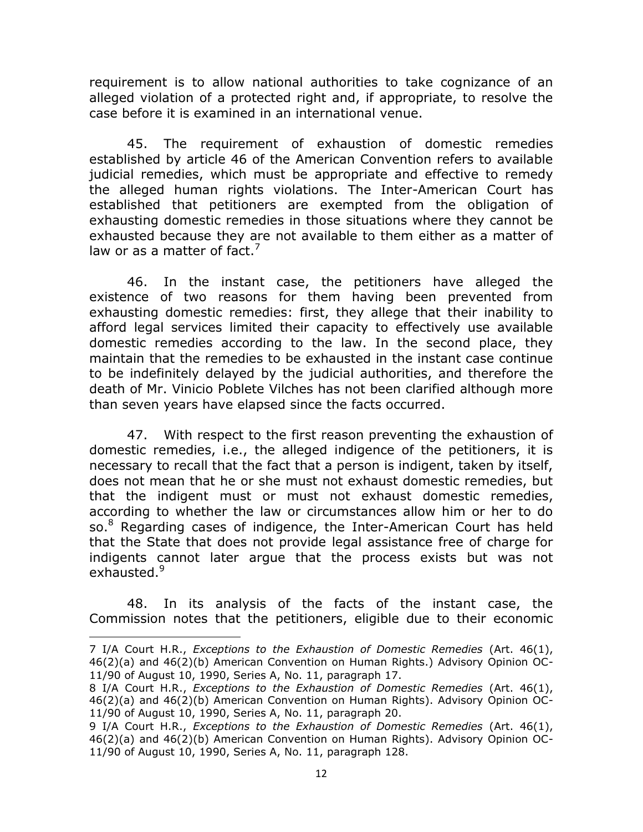requirement is to allow national authorities to take cognizance of an alleged violation of a protected right and, if appropriate, to resolve the case before it is examined in an international venue.

45. The requirement of exhaustion of domestic remedies established by article 46 of the American Convention refers to available judicial remedies, which must be appropriate and effective to remedy the alleged human rights violations. The Inter-American Court has established that petitioners are exempted from the obligation of exhausting domestic remedies in those situations where they cannot be exhausted because they are not available to them either as a matter of law or as a matter of fact.<sup>7</sup>

46. In the instant case, the petitioners have alleged the existence of two reasons for them having been prevented from exhausting domestic remedies: first, they allege that their inability to afford legal services limited their capacity to effectively use available domestic remedies according to the law. In the second place, they maintain that the remedies to be exhausted in the instant case continue to be indefinitely delayed by the judicial authorities, and therefore the death of Mr. Vinicio Poblete Vilches has not been clarified although more than seven years have elapsed since the facts occurred.

47. With respect to the first reason preventing the exhaustion of domestic remedies, i.e., the alleged indigence of the petitioners, it is necessary to recall that the fact that a person is indigent, taken by itself, does not mean that he or she must not exhaust domestic remedies, but that the indigent must or must not exhaust domestic remedies, according to whether the law or circumstances allow him or her to do so.<sup>8</sup> Regarding cases of indigence, the Inter-American Court has held that the State that does not provide legal assistance free of charge for indigents cannot later argue that the process exists but was not exhausted.<sup>9</sup>

48. In its analysis of the facts of the instant case, the Commission notes that the petitioners, eligible due to their economic

 $\overline{a}$ 

<sup>7</sup> I/A Court H.R., *Exceptions to the Exhaustion of Domestic Remedies* (Art. 46(1), 46(2)(a) and 46(2)(b) American Convention on Human Rights.) Advisory Opinion OC-11/90 of August 10, 1990, Series A, No. 11, paragraph 17.

<sup>8</sup> I/A Court H.R., *Exceptions to the Exhaustion of Domestic Remedies* (Art. 46(1), 46(2)(a) and 46(2)(b) American Convention on Human Rights). Advisory Opinion OC-11/90 of August 10, 1990, Series A, No. 11, paragraph 20.

<sup>9</sup> I/A Court H.R., *Exceptions to the Exhaustion of Domestic Remedies* (Art. 46(1), 46(2)(a) and 46(2)(b) American Convention on Human Rights). Advisory Opinion OC-11/90 of August 10, 1990, Series A, No. 11, paragraph 128.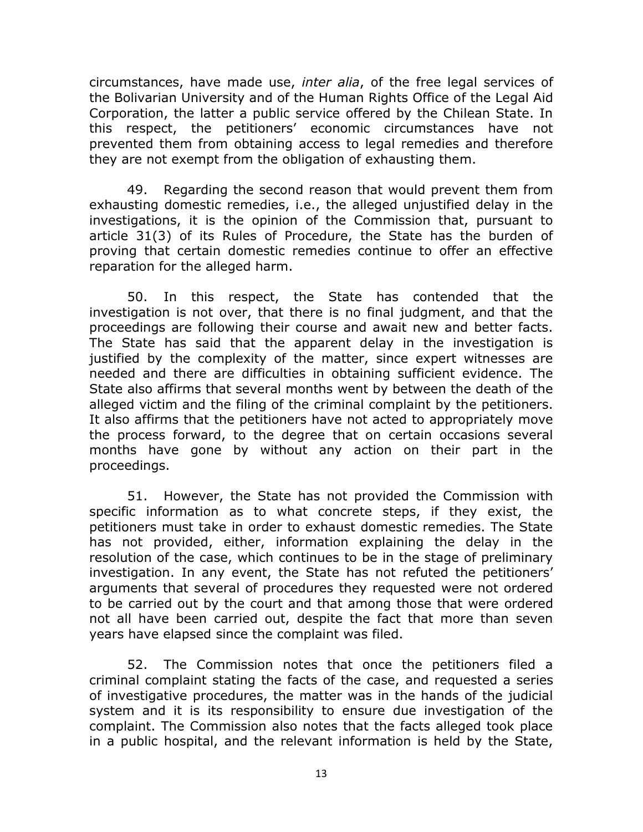circumstances, have made use, *inter alia*, of the free legal services of the Bolivarian University and of the Human Rights Office of the Legal Aid Corporation, the latter a public service offered by the Chilean State. In this respect, the petitioners' economic circumstances have not prevented them from obtaining access to legal remedies and therefore they are not exempt from the obligation of exhausting them.

49. Regarding the second reason that would prevent them from exhausting domestic remedies, i.e., the alleged unjustified delay in the investigations, it is the opinion of the Commission that, pursuant to article 31(3) of its Rules of Procedure, the State has the burden of proving that certain domestic remedies continue to offer an effective reparation for the alleged harm.

50. In this respect, the State has contended that the investigation is not over, that there is no final judgment, and that the proceedings are following their course and await new and better facts. The State has said that the apparent delay in the investigation is justified by the complexity of the matter, since expert witnesses are needed and there are difficulties in obtaining sufficient evidence. The State also affirms that several months went by between the death of the alleged victim and the filing of the criminal complaint by the petitioners. It also affirms that the petitioners have not acted to appropriately move the process forward, to the degree that on certain occasions several months have gone by without any action on their part in the proceedings.

51. However, the State has not provided the Commission with specific information as to what concrete steps, if they exist, the petitioners must take in order to exhaust domestic remedies. The State has not provided, either, information explaining the delay in the resolution of the case, which continues to be in the stage of preliminary investigation. In any event, the State has not refuted the petitioners' arguments that several of procedures they requested were not ordered to be carried out by the court and that among those that were ordered not all have been carried out, despite the fact that more than seven years have elapsed since the complaint was filed.

52. The Commission notes that once the petitioners filed a criminal complaint stating the facts of the case, and requested a series of investigative procedures, the matter was in the hands of the judicial system and it is its responsibility to ensure due investigation of the complaint. The Commission also notes that the facts alleged took place in a public hospital, and the relevant information is held by the State,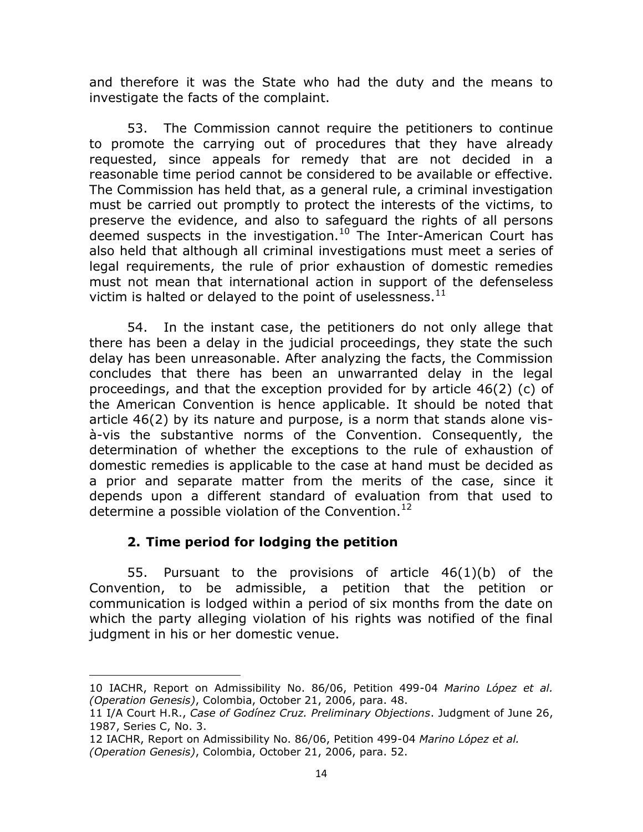and therefore it was the State who had the duty and the means to investigate the facts of the complaint.

53. The Commission cannot require the petitioners to continue to promote the carrying out of procedures that they have already requested, since appeals for remedy that are not decided in a reasonable time period cannot be considered to be available or effective. The Commission has held that, as a general rule, a criminal investigation must be carried out promptly to protect the interests of the victims, to preserve the evidence, and also to safeguard the rights of all persons deemed suspects in the investigation.<sup>10</sup> The Inter-American Court has also held that although all criminal investigations must meet a series of legal requirements, the rule of prior exhaustion of domestic remedies must not mean that international action in support of the defenseless victim is halted or delayed to the point of uselessness. $11$ 

54. In the instant case, the petitioners do not only allege that there has been a delay in the judicial proceedings, they state the such delay has been unreasonable. After analyzing the facts, the Commission concludes that there has been an unwarranted delay in the legal proceedings, and that the exception provided for by article 46(2) (c) of the American Convention is hence applicable. It should be noted that article 46(2) by its nature and purpose, is a norm that stands alone visà-vis the substantive norms of the Convention. Consequently, the determination of whether the exceptions to the rule of exhaustion of domestic remedies is applicable to the case at hand must be decided as a prior and separate matter from the merits of the case, since it depends upon a different standard of evaluation from that used to determine a possible violation of the Convention.<sup>12</sup>

## **2. Time period for lodging the petition**

55. Pursuant to the provisions of article 46(1)(b) of the Convention, to be admissible, a petition that the petition or communication is lodged within a period of six months from the date on which the party alleging violation of his rights was notified of the final judgment in his or her domestic venue.

 $\overline{a}$ 10 IACHR, Report on Admissibility No. 86/06, Petition 499-04 *Marino López et al. (Operation Genesis)*, Colombia, October 21, 2006, para. 48.

<sup>11</sup> I/A Court H.R., *Case of Godínez Cruz. Preliminary Objections*. Judgment of June 26, 1987, Series C, No. 3.

<sup>12</sup> IACHR, Report on Admissibility No. 86/06, Petition 499-04 *Marino López et al. (Operation Genesis)*, Colombia, October 21, 2006, para. 52.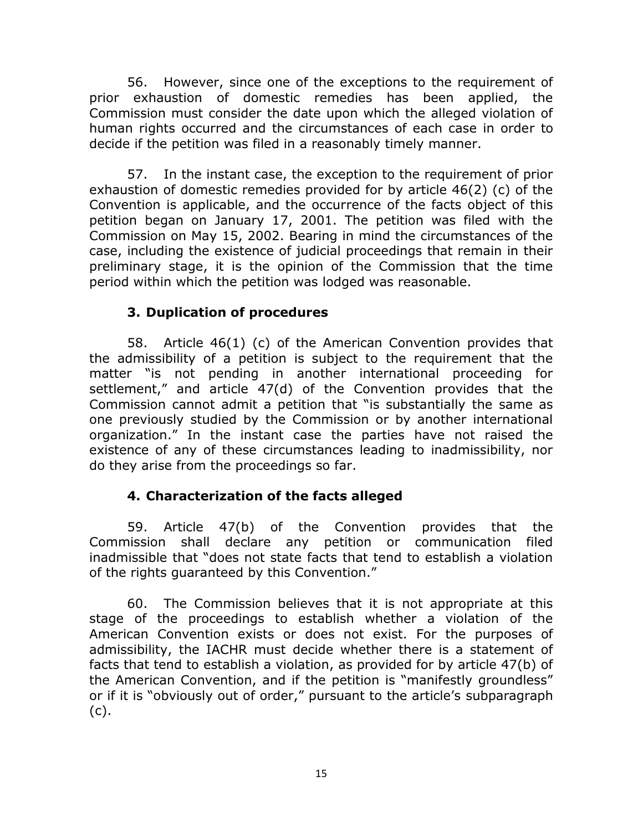56. However, since one of the exceptions to the requirement of prior exhaustion of domestic remedies has been applied, the Commission must consider the date upon which the alleged violation of human rights occurred and the circumstances of each case in order to decide if the petition was filed in a reasonably timely manner.

57. In the instant case, the exception to the requirement of prior exhaustion of domestic remedies provided for by article 46(2) (c) of the Convention is applicable, and the occurrence of the facts object of this petition began on January 17, 2001. The petition was filed with the Commission on May 15, 2002. Bearing in mind the circumstances of the case, including the existence of judicial proceedings that remain in their preliminary stage, it is the opinion of the Commission that the time period within which the petition was lodged was reasonable.

## **3. Duplication of procedures**

58. Article 46(1) (c) of the American Convention provides that the admissibility of a petition is subject to the requirement that the matter "is not pending in another international proceeding for settlement," and article 47(d) of the Convention provides that the Commission cannot admit a petition that "is substantially the same as one previously studied by the Commission or by another international organization." In the instant case the parties have not raised the existence of any of these circumstances leading to inadmissibility, nor do they arise from the proceedings so far.

## **4. Characterization of the facts alleged**

59. Article 47(b) of the Convention provides that the Commission shall declare any petition or communication filed inadmissible that "does not state facts that tend to establish a violation of the rights guaranteed by this Convention."

60. The Commission believes that it is not appropriate at this stage of the proceedings to establish whether a violation of the American Convention exists or does not exist. For the purposes of admissibility, the IACHR must decide whether there is a statement of facts that tend to establish a violation, as provided for by article 47(b) of the American Convention, and if the petition is "manifestly groundless" or if it is "obviously out of order," pursuant to the article's subparagraph (c).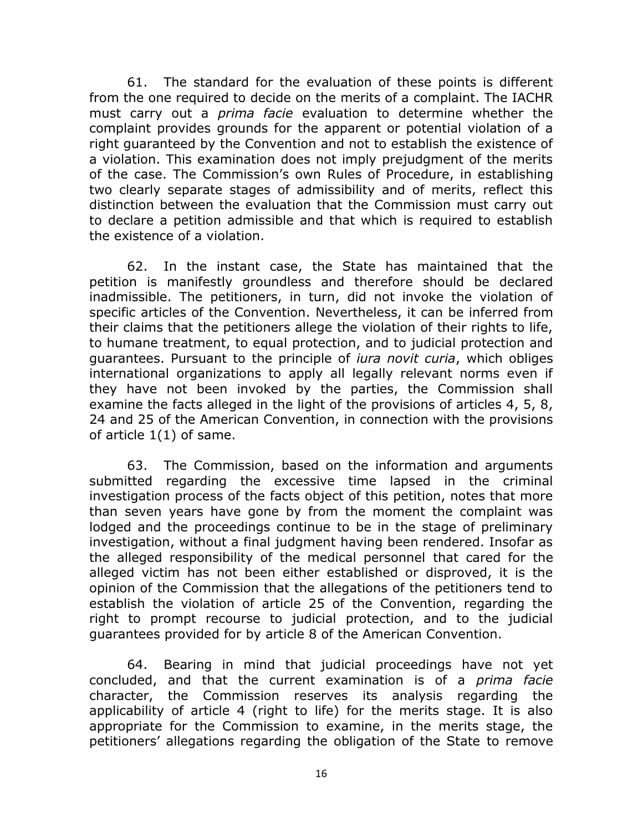61. The standard for the evaluation of these points is different from the one required to decide on the merits of a complaint. The IACHR must carry out a *prima facie* evaluation to determine whether the complaint provides grounds for the apparent or potential violation of a right guaranteed by the Convention and not to establish the existence of a violation. This examination does not imply prejudgment of the merits of the case. The Commission's own Rules of Procedure, in establishing two clearly separate stages of admissibility and of merits, reflect this distinction between the evaluation that the Commission must carry out to declare a petition admissible and that which is required to establish the existence of a violation.

62. In the instant case, the State has maintained that the petition is manifestly groundless and therefore should be declared inadmissible. The petitioners, in turn, did not invoke the violation of specific articles of the Convention. Nevertheless, it can be inferred from their claims that the petitioners allege the violation of their rights to life, to humane treatment, to equal protection, and to judicial protection and guarantees. Pursuant to the principle of *iura novit curia*, which obliges international organizations to apply all legally relevant norms even if they have not been invoked by the parties, the Commission shall examine the facts alleged in the light of the provisions of articles 4, 5, 8, 24 and 25 of the American Convention, in connection with the provisions of article 1(1) of same.

63. The Commission, based on the information and arguments submitted regarding the excessive time lapsed in the criminal investigation process of the facts object of this petition, notes that more than seven years have gone by from the moment the complaint was lodged and the proceedings continue to be in the stage of preliminary investigation, without a final judgment having been rendered. Insofar as the alleged responsibility of the medical personnel that cared for the alleged victim has not been either established or disproved, it is the opinion of the Commission that the allegations of the petitioners tend to establish the violation of article 25 of the Convention, regarding the right to prompt recourse to judicial protection, and to the judicial guarantees provided for by article 8 of the American Convention.

64. Bearing in mind that judicial proceedings have not yet concluded, and that the current examination is of a *prima facie* character, the Commission reserves its analysis regarding the applicability of article 4 (right to life) for the merits stage. It is also appropriate for the Commission to examine, in the merits stage, the petitioners' allegations regarding the obligation of the State to remove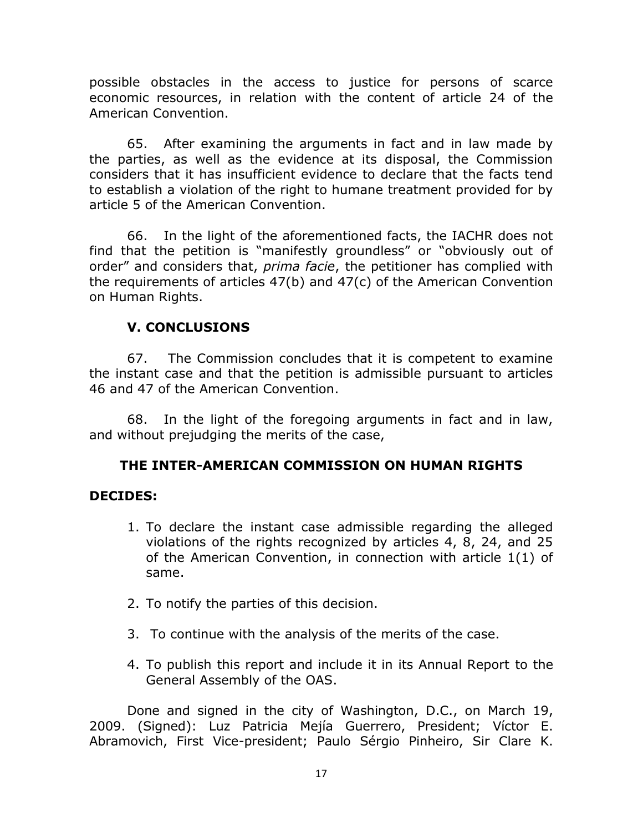possible obstacles in the access to justice for persons of scarce economic resources, in relation with the content of article 24 of the American Convention.

65. After examining the arguments in fact and in law made by the parties, as well as the evidence at its disposal, the Commission considers that it has insufficient evidence to declare that the facts tend to establish a violation of the right to humane treatment provided for by article 5 of the American Convention.

66. In the light of the aforementioned facts, the IACHR does not find that the petition is "manifestly groundless" or "obviously out of order" and considers that, *prima facie*, the petitioner has complied with the requirements of articles 47(b) and 47(c) of the American Convention on Human Rights.

# **V. CONCLUSIONS**

67. The Commission concludes that it is competent to examine the instant case and that the petition is admissible pursuant to articles 46 and 47 of the American Convention.

68. In the light of the foregoing arguments in fact and in law, and without prejudging the merits of the case,

## **THE INTER-AMERICAN COMMISSION ON HUMAN RIGHTS**

#### **DECIDES:**

- 1. To declare the instant case admissible regarding the alleged violations of the rights recognized by articles 4, 8, 24, and 25 of the American Convention, in connection with article 1(1) of same.
- 2. To notify the parties of this decision.
- 3. To continue with the analysis of the merits of the case.
- 4. To publish this report and include it in its Annual Report to the General Assembly of the OAS.

Done and signed in the city of Washington, D.C., on March 19, 2009. (Signed): Luz Patricia Mejía Guerrero, President; Víctor E. Abramovich, First Vice-president; Paulo Sérgio Pinheiro, Sir Clare K.